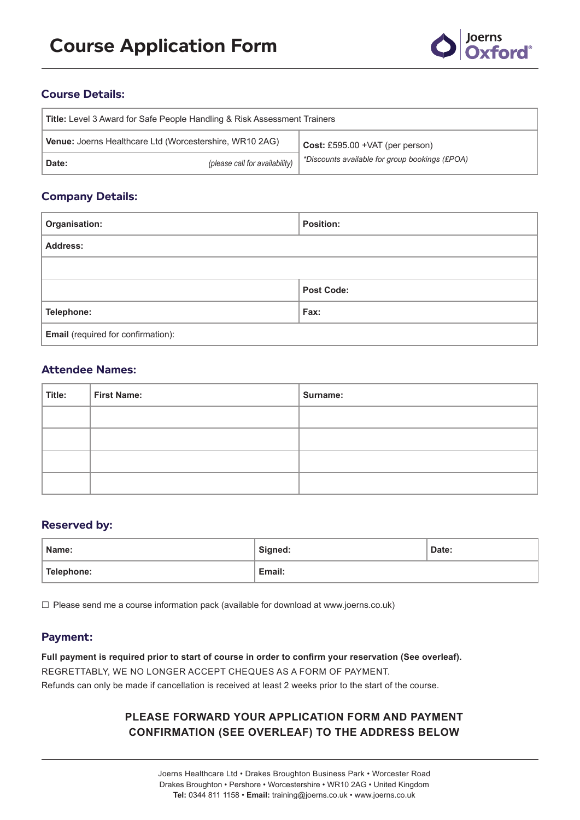

# **Course Details:**

| <b>Title:</b> Level 3 Award for Safe People Handling & Risk Assessment Trainers |                                |                                                        |  |
|---------------------------------------------------------------------------------|--------------------------------|--------------------------------------------------------|--|
| <b>Venue: Joerns Healthcare Ltd (Worcestershire, WR10 2AG)</b>                  |                                | $Cost: \text{\pounds}595.00 + \text{VAT}$ (per person) |  |
| Date:                                                                           | (please call for availability) | *Discounts available for group bookings (£POA)         |  |

## **Company Details:**

| Organisation:                             | <b>Position:</b>  |
|-------------------------------------------|-------------------|
| <b>Address:</b>                           |                   |
|                                           |                   |
|                                           | <b>Post Code:</b> |
| Telephone:                                | Fax:              |
| <b>Email</b> (required for confirmation): |                   |

# **Attendee Names:**

| Title: | First Name: | Surname: |
|--------|-------------|----------|
|        |             |          |
|        |             |          |
|        |             |          |
|        |             |          |

### **Reserved by:**

| Name:      | Signed: | Date: |
|------------|---------|-------|
| Telephone: | Email:  |       |

 $\square$  Please send me a course information pack (available for download at www.joerns.co.uk)

### **Payment:**

**Full payment is required prior to start of course in order to confirm your reservation (See overleaf).** REGRETTABLY, WE NO LONGER ACCEPT CHEQUES AS A FORM OF PAYMENT. Refunds can only be made if cancellation is received at least 2 weeks prior to the start of the course.

# **PLEASE FORWARD YOUR APPLICATION FORM AND PAYMENT CONFIRMATION (SEE OVERLEAF) TO THE ADDRESS BELOW**